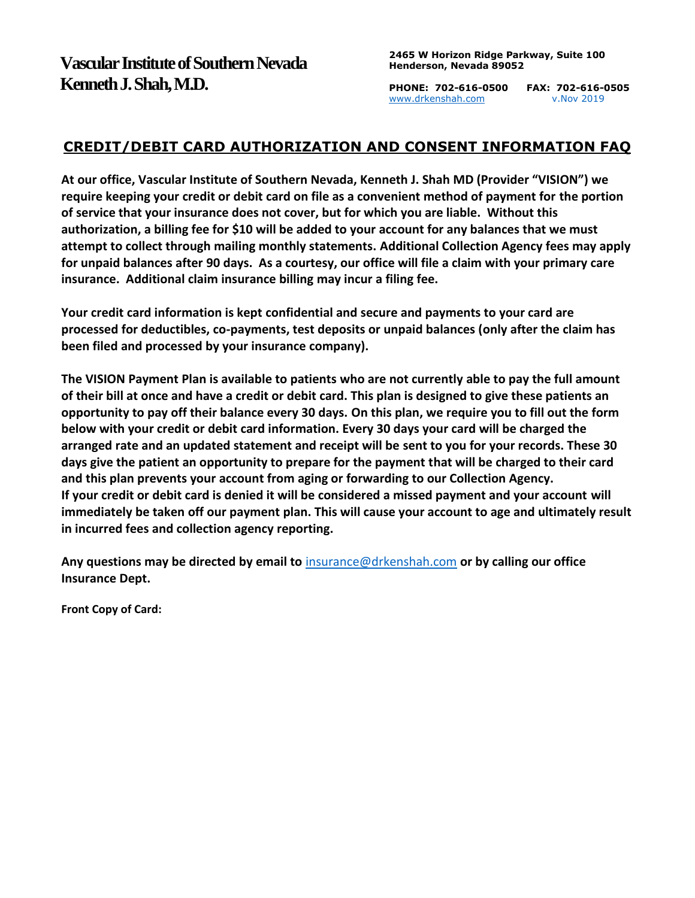**PHONE: 702-616-0500 FAX: 702-616-0505** [www.drkenshah.com](http://www.drkenshah.com/) v.Nov 2019

## **CREDIT/DEBIT CARD AUTHORIZATION AND CONSENT INFORMATION FAQ**

**At our office, Vascular Institute of Southern Nevada, Kenneth J. Shah MD (Provider "VISION") we require keeping your credit or debit card on file as a convenient method of payment for the portion of service that your insurance does not cover, but for which you are liable. Without this authorization, a billing fee for \$10 will be added to your account for any balances that we must attempt to collect through mailing monthly statements. Additional Collection Agency fees may apply for unpaid balances after 90 days. As a courtesy, our office will file a claim with your primary care insurance. Additional claim insurance billing may incur a filing fee.** 

**Your credit card information is kept confidential and secure and payments to your card are processed for deductibles, co-payments, test deposits or unpaid balances (only after the claim has been filed and processed by your insurance company).**

**The VISION Payment Plan is available to patients who are not currently able to pay the full amount of their bill at once and have a credit or debit card. This plan is designed to give these patients an opportunity to pay off their balance every 30 days. On this plan, we require you to fill out the form below with your credit or debit card information. Every 30 days your card will be charged the arranged rate and an updated statement and receipt will be sent to you for your records. These 30 days give the patient an opportunity to prepare for the payment that will be charged to their card and this plan prevents your account from aging or forwarding to our Collection Agency. If your credit or debit card is denied it will be considered a missed payment and your account will immediately be taken off our payment plan. This will cause your account to age and ultimately result in incurred fees and collection agency reporting.** 

**Any questions may be directed by email to** [insurance@drkenshah.com](mailto:insurance@drkenshah.com) **or by calling our office Insurance Dept.** 

**Front Copy of Card:**